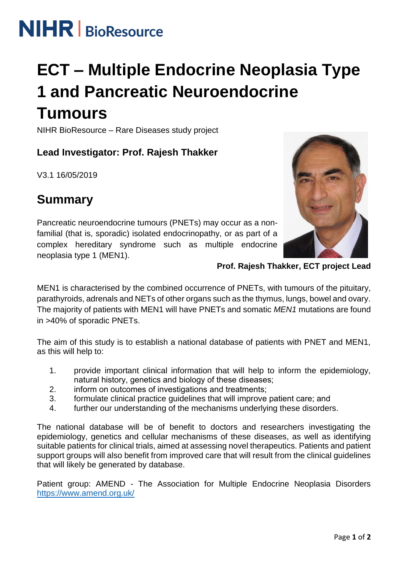

# **ECT – Multiple Endocrine Neoplasia Type 1 and Pancreatic Neuroendocrine**

# **Tumours**

NIHR BioResource – Rare Diseases study project

## **Lead Investigator: Prof. Rajesh Thakker**

V3.1 16/05/2019

## **Summary**

Pancreatic neuroendocrine tumours (PNETs) may occur as a nonfamilial (that is, sporadic) isolated endocrinopathy, or as part of a complex hereditary syndrome such as multiple endocrine neoplasia type 1 (MEN1).



**Prof. Rajesh Thakker, ECT project Lead**

MEN1 is characterised by the combined occurrence of PNETs, with tumours of the pituitary, parathyroids, adrenals and NETs of other organs such as the thymus, lungs, bowel and ovary. The majority of patients with MEN1 will have PNETs and somatic *MEN1* mutations are found in >40% of sporadic PNETs.

The aim of this study is to establish a national database of patients with PNET and MEN1, as this will help to:

- 1. provide important clinical information that will help to inform the epidemiology, natural history, genetics and biology of these diseases;
- 2. inform on outcomes of investigations and treatments;
- 3. formulate clinical practice guidelines that will improve patient care; and
- 4. further our understanding of the mechanisms underlying these disorders.

The national database will be of benefit to doctors and researchers investigating the epidemiology, genetics and cellular mechanisms of these diseases, as well as identifying suitable patients for clinical trials, aimed at assessing novel therapeutics. Patients and patient support groups will also benefit from improved care that will result from the clinical guidelines that will likely be generated by database.

Patient group: AMEND - The Association for Multiple Endocrine Neoplasia Disorders <https://www.amend.org.uk/>